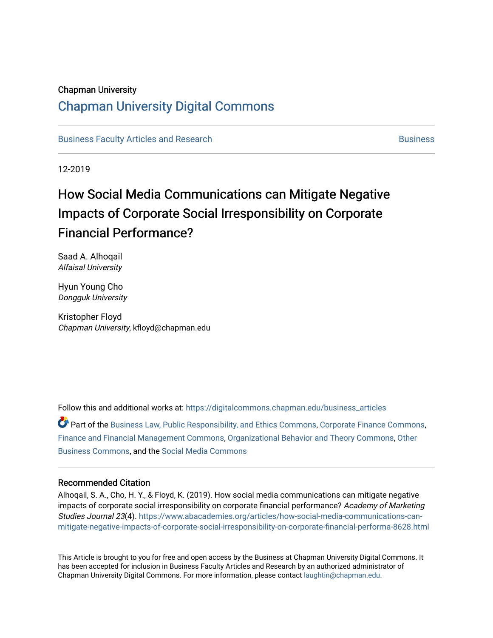### Chapman University

# [Chapman University Digital Commons](https://digitalcommons.chapman.edu/)

[Business Faculty Articles and Research](https://digitalcommons.chapman.edu/business_articles) [Business](https://digitalcommons.chapman.edu/business) **Business** Business

12-2019

# How Social Media Communications can Mitigate Negative Impacts of Corporate Social Irresponsibility on Corporate Financial Performance?

Saad A. Alhoqail Alfaisal University

Hyun Young Cho Dongguk University

Kristopher Floyd Chapman University, kfloyd@chapman.edu

Follow this and additional works at: [https://digitalcommons.chapman.edu/business\\_articles](https://digitalcommons.chapman.edu/business_articles?utm_source=digitalcommons.chapman.edu%2Fbusiness_articles%2F97&utm_medium=PDF&utm_campaign=PDFCoverPages) 

Part of the [Business Law, Public Responsibility, and Ethics Commons](http://network.bepress.com/hgg/discipline/628?utm_source=digitalcommons.chapman.edu%2Fbusiness_articles%2F97&utm_medium=PDF&utm_campaign=PDFCoverPages), [Corporate Finance Commons,](http://network.bepress.com/hgg/discipline/629?utm_source=digitalcommons.chapman.edu%2Fbusiness_articles%2F97&utm_medium=PDF&utm_campaign=PDFCoverPages) [Finance and Financial Management Commons](http://network.bepress.com/hgg/discipline/631?utm_source=digitalcommons.chapman.edu%2Fbusiness_articles%2F97&utm_medium=PDF&utm_campaign=PDFCoverPages), [Organizational Behavior and Theory Commons](http://network.bepress.com/hgg/discipline/639?utm_source=digitalcommons.chapman.edu%2Fbusiness_articles%2F97&utm_medium=PDF&utm_campaign=PDFCoverPages), [Other](http://network.bepress.com/hgg/discipline/647?utm_source=digitalcommons.chapman.edu%2Fbusiness_articles%2F97&utm_medium=PDF&utm_campaign=PDFCoverPages)  [Business Commons](http://network.bepress.com/hgg/discipline/647?utm_source=digitalcommons.chapman.edu%2Fbusiness_articles%2F97&utm_medium=PDF&utm_campaign=PDFCoverPages), and the [Social Media Commons](http://network.bepress.com/hgg/discipline/1249?utm_source=digitalcommons.chapman.edu%2Fbusiness_articles%2F97&utm_medium=PDF&utm_campaign=PDFCoverPages) 

#### Recommended Citation

Alhoqail, S. A., Cho, H. Y., & Floyd, K. (2019). How social media communications can mitigate negative impacts of corporate social irresponsibility on corporate financial performance? Academy of Marketing Studies Journal 23(4). [https://www.abacademies.org/articles/how-social-media-communications-can](https://www.abacademies.org/articles/how-social-media-communications-can-mitigate-negative-impacts-of-corporate-social-irresponsibility-on-corporate-financial-performa-8628.html)[mitigate-negative-impacts-of-corporate-social-irresponsibility-on-corporate-financial-performa-8628.html](https://www.abacademies.org/articles/how-social-media-communications-can-mitigate-negative-impacts-of-corporate-social-irresponsibility-on-corporate-financial-performa-8628.html)

This Article is brought to you for free and open access by the Business at Chapman University Digital Commons. It has been accepted for inclusion in Business Faculty Articles and Research by an authorized administrator of Chapman University Digital Commons. For more information, please contact [laughtin@chapman.edu](mailto:laughtin@chapman.edu).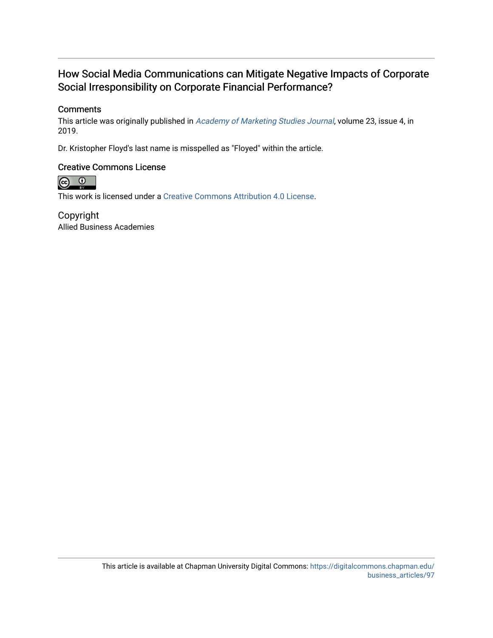# How Social Media Communications can Mitigate Negative Impacts of Corporate Social Irresponsibility on Corporate Financial Performance?

# **Comments**

This article was originally published in [Academy of Marketing Studies Journal](https://www.abacademies.org/journals/academy-of-marketing-studies-journal-home.html), volume 23, issue 4, in 2019.

Dr. Kristopher Floyd's last name is misspelled as "Floyed" within the article.

# Creative Commons License



This work is licensed under a [Creative Commons Attribution 4.0 License](https://creativecommons.org/licenses/by/4.0/).

Copyright Allied Business Academies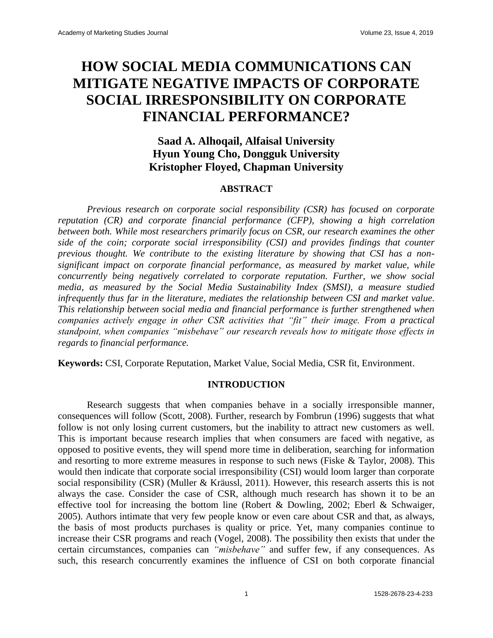# **HOW SOCIAL MEDIA COMMUNICATIONS CAN MITIGATE NEGATIVE IMPACTS OF CORPORATE SOCIAL IRRESPONSIBILITY ON CORPORATE FINANCIAL PERFORMANCE?**

# **Saad A. Alhoqail, Alfaisal University Hyun Young Cho, Dongguk University Kristopher Floyed, Chapman University**

# **ABSTRACT**

*Previous research on corporate social responsibility (CSR) has focused on corporate reputation (CR) and corporate financial performance (CFP), showing a high correlation between both. While most researchers primarily focus on CSR, our research examines the other side of the coin; corporate social irresponsibility (CSI) and provides findings that counter previous thought. We contribute to the existing literature by showing that CSI has a nonsignificant impact on corporate financial performance, as measured by market value, while concurrently being negatively correlated to corporate reputation. Further, we show social media, as measured by the Social Media Sustainability Index (SMSI), a measure studied infrequently thus far in the literature, mediates the relationship between CSI and market value. This relationship between social media and financial performance is further strengthened when companies actively engage in other CSR activities that "fit" their image. From a practical standpoint, when companies "misbehave" our research reveals how to mitigate those effects in regards to financial performance.*

**Keywords:** CSI, Corporate Reputation, Market Value, Social Media, CSR fit, Environment.

#### **INTRODUCTION**

Research suggests that when companies behave in a socially irresponsible manner, consequences will follow (Scott, 2008). Further, research by Fombrun (1996) suggests that what follow is not only losing current customers, but the inability to attract new customers as well. This is important because research implies that when consumers are faced with negative, as opposed to positive events, they will spend more time in deliberation, searching for information and resorting to more extreme measures in response to such news (Fiske & Taylor, 2008). This would then indicate that corporate social irresponsibility (CSI) would loom larger than corporate social responsibility (CSR) (Muller & Kräussl, 2011). However, this research asserts this is not always the case. Consider the case of CSR, although much research has shown it to be an effective tool for increasing the bottom line (Robert & Dowling, 2002; Eberl & Schwaiger, 2005). Authors intimate that very few people know or even care about CSR and that, as always, the basis of most products purchases is quality or price. Yet, many companies continue to increase their CSR programs and reach (Vogel, 2008). The possibility then exists that under the certain circumstances, companies can *"misbehave"* and suffer few, if any consequences. As such, this research concurrently examines the influence of CSI on both corporate financial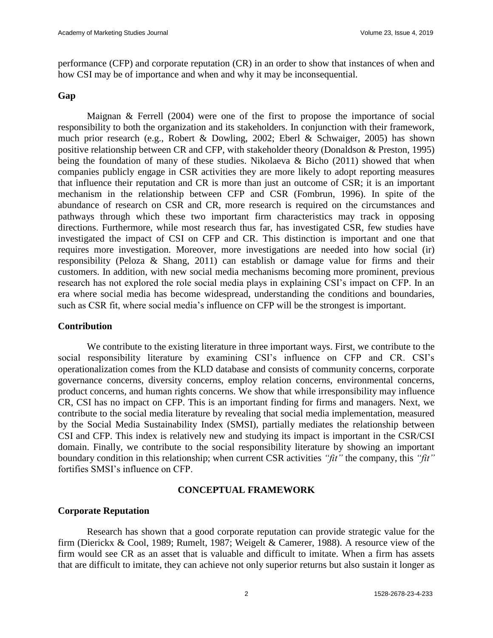performance (CFP) and corporate reputation (CR) in an order to show that instances of when and how CSI may be of importance and when and why it may be inconsequential.

# **Gap**

Maignan & Ferrell (2004) were one of the first to propose the importance of social responsibility to both the organization and its stakeholders. In conjunction with their framework, much prior research (e.g., Robert & Dowling, 2002; Eberl & Schwaiger, 2005) has shown positive relationship between CR and CFP, with stakeholder theory (Donaldson & Preston, 1995) being the foundation of many of these studies. Nikolaeva & Bicho (2011) showed that when companies publicly engage in CSR activities they are more likely to adopt reporting measures that influence their reputation and CR is more than just an outcome of CSR; it is an important mechanism in the relationship between CFP and CSR (Fombrun, 1996). In spite of the abundance of research on CSR and CR, more research is required on the circumstances and pathways through which these two important firm characteristics may track in opposing directions. Furthermore, while most research thus far, has investigated CSR, few studies have investigated the impact of CSI on CFP and CR. This distinction is important and one that requires more investigation. Moreover, more investigations are needed into how social (ir) responsibility (Peloza & Shang, 2011) can establish or damage value for firms and their customers. In addition, with new social media mechanisms becoming more prominent, previous research has not explored the role social media plays in explaining CSI's impact on CFP. In an era where social media has become widespread, understanding the conditions and boundaries, such as CSR fit, where social media's influence on CFP will be the strongest is important.

#### **Contribution**

We contribute to the existing literature in three important ways. First, we contribute to the social responsibility literature by examining CSI's influence on CFP and CR. CSI's operationalization comes from the KLD database and consists of community concerns, corporate governance concerns, diversity concerns, employ relation concerns, environmental concerns, product concerns, and human rights concerns. We show that while irresponsibility may influence CR, CSI has no impact on CFP. This is an important finding for firms and managers. Next, we contribute to the social media literature by revealing that social media implementation, measured by the Social Media Sustainability Index (SMSI), partially mediates the relationship between CSI and CFP. This index is relatively new and studying its impact is important in the CSR/CSI domain. Finally, we contribute to the social responsibility literature by showing an important boundary condition in this relationship; when current CSR activities *"fit"* the company, this *"fit"* fortifies SMSI's influence on CFP.

# **CONCEPTUAL FRAMEWORK**

#### **Corporate Reputation**

Research has shown that a good corporate reputation can provide strategic value for the firm (Dierickx & Cool, 1989; Rumelt, 1987; Weigelt & Camerer, 1988). A resource view of the firm would see CR as an asset that is valuable and difficult to imitate. When a firm has assets that are difficult to imitate, they can achieve not only superior returns but also sustain it longer as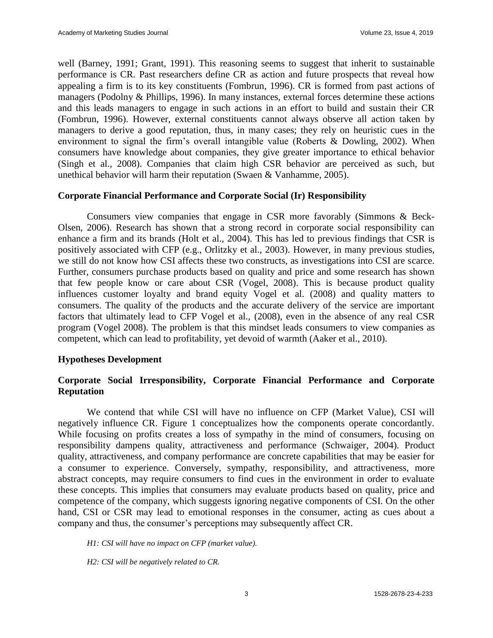well (Barney, 1991; Grant, 1991). This reasoning seems to suggest that inherit to sustainable performance is CR. Past researchers define CR as action and future prospects that reveal how appealing a firm is to its key constituents (Fombrun, 1996). CR is formed from past actions of managers (Podolny & Phillips, 1996). In many instances, external forces determine these actions and this leads managers to engage in such actions in an effort to build and sustain their CR (Fombrun, 1996). However, external constituents cannot always observe all action taken by managers to derive a good reputation, thus, in many cases; they rely on heuristic cues in the environment to signal the firm's overall intangible value (Roberts & Dowling, 2002). When consumers have knowledge about companies, they give greater importance to ethical behavior (Singh et al., 2008). Companies that claim high CSR behavior are perceived as such, but unethical behavior will harm their reputation (Swaen & Vanhamme, 2005).

# **Corporate Financial Performance and Corporate Social (Ir) Responsibility**

Consumers view companies that engage in CSR more favorably (Simmons & Beck-Olsen, 2006). Research has shown that a strong record in corporate social responsibility can enhance a firm and its brands (Holt et al., 2004). This has led to previous findings that CSR is positively associated with CFP (e.g., Orlitzky et al., 2003). However, in many previous studies, we still do not know how CSI affects these two constructs, as investigations into CSI are scarce. Further, consumers purchase products based on quality and price and some research has shown that few people know or care about CSR (Vogel, 2008). This is because product quality influences customer loyalty and brand equity Vogel et al. (2008) and quality matters to consumers. The quality of the products and the accurate delivery of the service are important factors that ultimately lead to CFP Vogel et al., (2008), even in the absence of any real CSR program (Vogel 2008). The problem is that this mindset leads consumers to view companies as competent, which can lead to profitability, yet devoid of warmth (Aaker et al., 2010).

#### **Hypotheses Development**

# **Corporate Social Irresponsibility, Corporate Financial Performance and Corporate Reputation**

We contend that while CSI will have no influence on CFP (Market Value), CSI will negatively influence CR. Figure 1 conceptualizes how the components operate concordantly. While focusing on profits creates a loss of sympathy in the mind of consumers, focusing on responsibility dampens quality, attractiveness and performance (Schwaiger, 2004). Product quality, attractiveness, and company performance are concrete capabilities that may be easier for a consumer to experience. Conversely, sympathy, responsibility, and attractiveness, more abstract concepts, may require consumers to find cues in the environment in order to evaluate these concepts. This implies that consumers may evaluate products based on quality, price and competence of the company, which suggests ignoring negative components of CSI. On the other hand, CSI or CSR may lead to emotional responses in the consumer, acting as cues about a company and thus, the consumer's perceptions may subsequently affect CR.

*H1: CSI will have no impact on CFP (market value).*

*H2: CSI will be negatively related to CR.*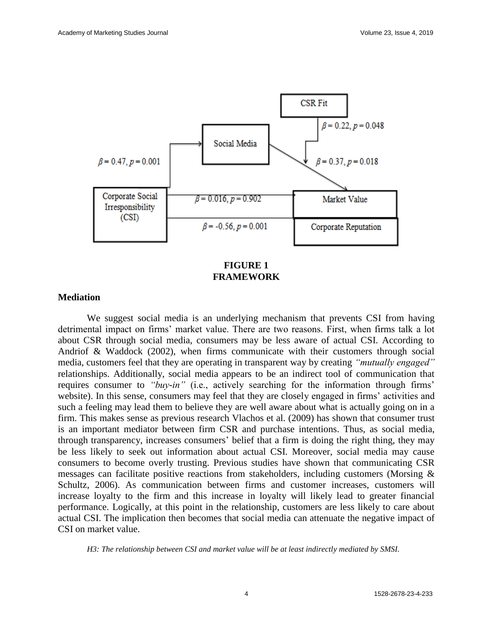

**FIGURE 1 FRAMEWORK**

#### **Mediation**

We suggest social media is an underlying mechanism that prevents CSI from having detrimental impact on firms' market value. There are two reasons. First, when firms talk a lot about CSR through social media, consumers may be less aware of actual CSI. According to Andriof & Waddock (2002), when firms communicate with their customers through social media, customers feel that they are operating in transparent way by creating *"mutually engaged"* relationships. Additionally, social media appears to be an indirect tool of communication that requires consumer to *"buy-in"* (i.e., actively searching for the information through firms' website). In this sense, consumers may feel that they are closely engaged in firms' activities and such a feeling may lead them to believe they are well aware about what is actually going on in a firm. This makes sense as previous research Vlachos et al. (2009) has shown that consumer trust is an important mediator between firm CSR and purchase intentions. Thus, as social media, through transparency, increases consumers' belief that a firm is doing the right thing, they may be less likely to seek out information about actual CSI. Moreover, social media may cause consumers to become overly trusting. Previous studies have shown that communicating CSR messages can facilitate positive reactions from stakeholders, including customers (Morsing & Schultz, 2006). As communication between firms and customer increases, customers will increase loyalty to the firm and this increase in loyalty will likely lead to greater financial performance. Logically, at this point in the relationship, customers are less likely to care about actual CSI. The implication then becomes that social media can attenuate the negative impact of CSI on market value.

*H3: The relationship between CSI and market value will be at least indirectly mediated by SMSI.*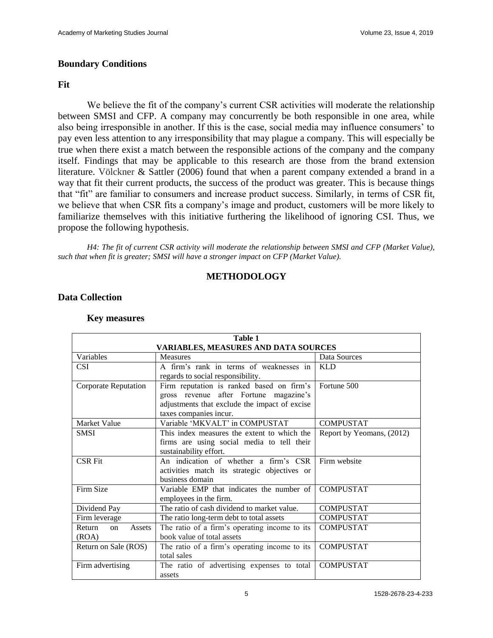# **Boundary Conditions**

### **Fit**

We believe the fit of the company's current CSR activities will moderate the relationship between SMSI and CFP. A company may concurrently be both responsible in one area, while also being irresponsible in another. If this is the case, social media may influence consumers' to pay even less attention to any irresponsibility that may plague a company. This will especially be true when there exist a match between the responsible actions of the company and the company itself. Findings that may be applicable to this research are those from the brand extension literature. Völckner & Sattler (2006) found that when a parent company extended a brand in a way that fit their current products, the success of the product was greater. This is because things that "fit" are familiar to consumers and increase product success. Similarly, in terms of CSR fit, we believe that when CSR fits a company's image and product, customers will be more likely to familiarize themselves with this initiative furthering the likelihood of ignoring CSI. Thus, we propose the following hypothesis.

*H4: The fit of current CSR activity will moderate the relationship between SMSI and CFP (Market Value), such that when fit is greater; SMSI will have a stronger impact on CFP (Market Value).*

# **METHODOLOGY**

# **Data Collection**

| <b>Table 1</b><br><b>VARIABLES, MEASURES AND DATA SOURCES</b> |                                               |                           |  |  |  |  |  |  |
|---------------------------------------------------------------|-----------------------------------------------|---------------------------|--|--|--|--|--|--|
| Variables                                                     | Data Sources                                  |                           |  |  |  |  |  |  |
|                                                               | <b>Measures</b>                               |                           |  |  |  |  |  |  |
| <b>CSI</b>                                                    | A firm's rank in terms of weaknesses in       | <b>KLD</b>                |  |  |  |  |  |  |
|                                                               | regards to social responsibility.             |                           |  |  |  |  |  |  |
| <b>Corporate Reputation</b>                                   | Firm reputation is ranked based on firm's     | Fortune 500               |  |  |  |  |  |  |
|                                                               | gross revenue after Fortune magazine's        |                           |  |  |  |  |  |  |
|                                                               | adjustments that exclude the impact of excise |                           |  |  |  |  |  |  |
|                                                               | taxes companies incur.                        |                           |  |  |  |  |  |  |
| Market Value                                                  | Variable 'MKVALT' in COMPUSTAT                | <b>COMPUSTAT</b>          |  |  |  |  |  |  |
| <b>SMSI</b>                                                   | This index measures the extent to which the   | Report by Yeomans, (2012) |  |  |  |  |  |  |
|                                                               | firms are using social media to tell their    |                           |  |  |  |  |  |  |
|                                                               | sustainability effort.                        |                           |  |  |  |  |  |  |
| <b>CSR Fit</b>                                                | An indication of whether a firm's CSR         | Firm website              |  |  |  |  |  |  |
|                                                               | activities match its strategic objectives or  |                           |  |  |  |  |  |  |
|                                                               | business domain                               |                           |  |  |  |  |  |  |
| Firm Size                                                     | Variable EMP that indicates the number of     | <b>COMPUSTAT</b>          |  |  |  |  |  |  |
|                                                               | employees in the firm.                        |                           |  |  |  |  |  |  |
| Dividend Pay                                                  | The ratio of cash dividend to market value.   | <b>COMPUSTAT</b>          |  |  |  |  |  |  |
| Firm leverage                                                 | The ratio long-term debt to total assets      | <b>COMPUSTAT</b>          |  |  |  |  |  |  |
| Assets<br>Return<br>on                                        | The ratio of a firm's operating income to its | <b>COMPUSTAT</b>          |  |  |  |  |  |  |
| (ROA)                                                         | book value of total assets                    |                           |  |  |  |  |  |  |
| Return on Sale (ROS)                                          | The ratio of a firm's operating income to its | <b>COMPUSTAT</b>          |  |  |  |  |  |  |
|                                                               | total sales                                   |                           |  |  |  |  |  |  |
| Firm advertising                                              | The ratio of advertising expenses to total    | <b>COMPUSTAT</b>          |  |  |  |  |  |  |
|                                                               | assets                                        |                           |  |  |  |  |  |  |

#### **Key measures**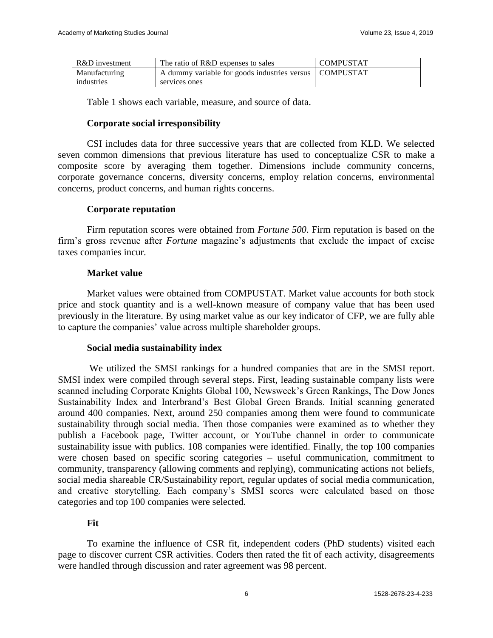| R&D investment | The ratio of R&D expenses to sales                       | <b>COMPUSTAT</b> |
|----------------|----------------------------------------------------------|------------------|
| Manufacturing  | A dummy variable for goods industries versus   COMPUSTAT |                  |
| industries     | services ones                                            |                  |

Table 1 shows each variable, measure, and source of data.

# **Corporate social irresponsibility**

CSI includes data for three successive years that are collected from KLD. We selected seven common dimensions that previous literature has used to conceptualize CSR to make a composite score by averaging them together. Dimensions include community concerns, corporate governance concerns, diversity concerns, employ relation concerns, environmental concerns, product concerns, and human rights concerns.

# **Corporate reputation**

Firm reputation scores were obtained from *Fortune 500*. Firm reputation is based on the firm's gross revenue after *Fortune* magazine's adjustments that exclude the impact of excise taxes companies incur.

# **Market value**

Market values were obtained from COMPUSTAT. Market value accounts for both stock price and stock quantity and is a well-known measure of company value that has been used previously in the literature. By using market value as our key indicator of CFP, we are fully able to capture the companies' value across multiple shareholder groups.

#### **Social media sustainability index**

We utilized the SMSI rankings for a hundred companies that are in the SMSI report. SMSI index were compiled through several steps. First, leading sustainable company lists were scanned including Corporate Knights Global 100, Newsweek's Green Rankings, The Dow Jones Sustainability Index and Interbrand's Best Global Green Brands. Initial scanning generated around 400 companies. Next, around 250 companies among them were found to communicate sustainability through social media. Then those companies were examined as to whether they publish a Facebook page, Twitter account, or YouTube channel in order to communicate sustainability issue with publics. 108 companies were identified. Finally, the top 100 companies were chosen based on specific scoring categories – useful communication, commitment to community, transparency (allowing comments and replying), communicating actions not beliefs, social media shareable CR/Sustainability report, regular updates of social media communication, and creative storytelling. Each company's SMSI scores were calculated based on those categories and top 100 companies were selected.

# **Fit**

To examine the influence of CSR fit, independent coders (PhD students) visited each page to discover current CSR activities. Coders then rated the fit of each activity, disagreements were handled through discussion and rater agreement was 98 percent.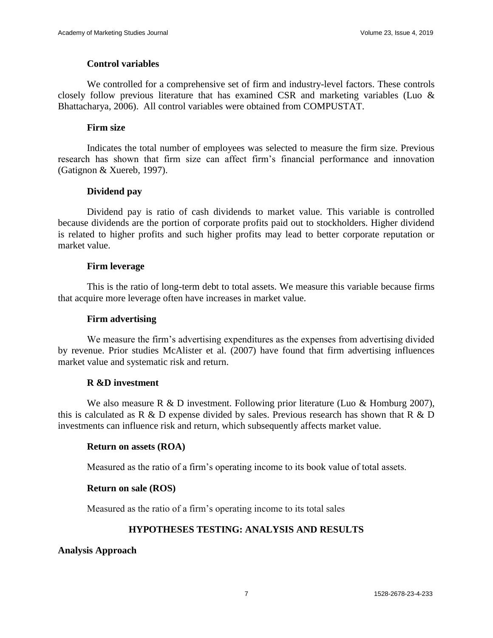# **Control variables**

We controlled for a comprehensive set of firm and industry-level factors. These controls closely follow previous literature that has examined CSR and marketing variables (Luo  $\&$ Bhattacharya, 2006). All control variables were obtained from COMPUSTAT.

# **Firm size**

Indicates the total number of employees was selected to measure the firm size. Previous research has shown that firm size can affect firm's financial performance and innovation (Gatignon & Xuereb, 1997).

# **Dividend pay**

Dividend pay is ratio of cash dividends to market value. This variable is controlled because dividends are the portion of corporate profits paid out to stockholders. Higher dividend is related to higher profits and such higher profits may lead to better corporate reputation or market value.

# **Firm leverage**

This is the ratio of long-term debt to total assets. We measure this variable because firms that acquire more leverage often have increases in market value.

### **Firm advertising**

We measure the firm's advertising expenditures as the expenses from advertising divided by revenue. Prior studies McAlister et al. (2007) have found that firm advertising influences market value and systematic risk and return.

# **R &D investment**

We also measure R  $\&$  D investment. Following prior literature (Luo  $\&$  Homburg 2007), this is calculated as R & D expense divided by sales. Previous research has shown that R & D investments can influence risk and return, which subsequently affects market value.

#### **Return on assets (ROA)**

Measured as the ratio of a firm's operating income to its book value of total assets.

#### **Return on sale (ROS)**

Measured as the ratio of a firm's operating income to its total sales

# **HYPOTHESES TESTING: ANALYSIS AND RESULTS**

**Analysis Approach**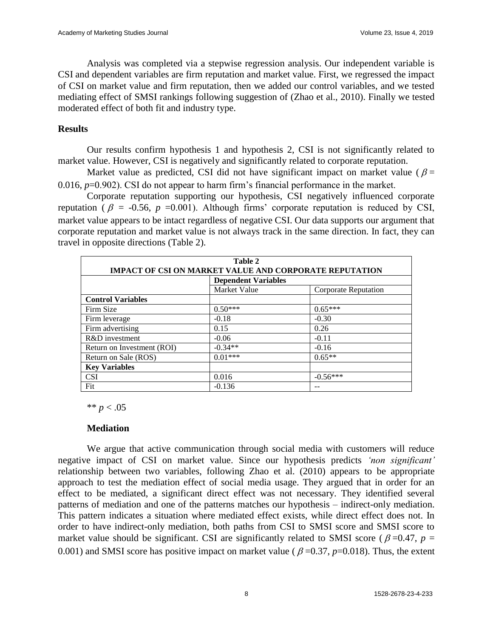Analysis was completed via a stepwise regression analysis. Our independent variable is CSI and dependent variables are firm reputation and market value. First, we regressed the impact of CSI on market value and firm reputation, then we added our control variables, and we tested mediating effect of SMSI rankings following suggestion of (Zhao et al., 2010). Finally we tested moderated effect of both fit and industry type.

# **Results**

Our results confirm hypothesis 1 and hypothesis 2, CSI is not significantly related to market value. However, CSI is negatively and significantly related to corporate reputation.

Market value as predicted, CSI did not have significant impact on market value ( $\beta$  = 0.016, *p*=0.902). CSI do not appear to harm firm's financial performance in the market.

Corporate reputation supporting our hypothesis, CSI negatively influenced corporate reputation ( $\beta$  = -0.56,  $p$  =0.001). Although firms' corporate reputation is reduced by CSI, market value appears to be intact regardless of negative CSI. Our data supports our argument that corporate reputation and market value is not always track in the same direction. In fact, they can travel in opposite directions (Table 2).

| Table 2<br><b>IMPACT OF CSI ON MARKET VALUE AND CORPORATE REPUTATION</b> |                            |                      |  |  |  |  |  |
|--------------------------------------------------------------------------|----------------------------|----------------------|--|--|--|--|--|
|                                                                          | <b>Dependent Variables</b> |                      |  |  |  |  |  |
|                                                                          | Market Value               | Corporate Reputation |  |  |  |  |  |
| <b>Control Variables</b>                                                 |                            |                      |  |  |  |  |  |
| Firm Size                                                                | $0.50***$                  | $0.65***$            |  |  |  |  |  |
| Firm leverage                                                            | $-0.18$                    | $-0.30$              |  |  |  |  |  |
| Firm advertising                                                         | 0.15                       | 0.26                 |  |  |  |  |  |
| R&D investment                                                           | $-0.06$                    | $-0.11$              |  |  |  |  |  |
| Return on Investment (ROI)                                               | $-0.34**$                  | $-0.16$              |  |  |  |  |  |
| Return on Sale (ROS)                                                     | $0.01***$                  | $0.65**$             |  |  |  |  |  |
| <b>Key Variables</b>                                                     |                            |                      |  |  |  |  |  |
| <b>CSI</b>                                                               | 0.016                      | $-0.56***$           |  |  |  |  |  |
| Fit                                                                      | $-0.136$                   |                      |  |  |  |  |  |

\*\* *p* < .05

#### **Mediation**

We argue that active communication through social media with customers will reduce negative impact of CSI on market value. Since our hypothesis predicts *'non significant'* relationship between two variables, following Zhao et al. (2010) appears to be appropriate approach to test the mediation effect of social media usage. They argued that in order for an effect to be mediated, a significant direct effect was not necessary. They identified several patterns of mediation and one of the patterns matches our hypothesis – indirect-only mediation. This pattern indicates a situation where mediated effect exists, while direct effect does not. In order to have indirect-only mediation, both paths from CSI to SMSI score and SMSI score to market value should be significant. CSI are significantly related to SMSI score ( $\beta$ =0.47,  $p$  = 0.001) and SMSI score has positive impact on market value ( $\beta$  =0.37,  $p$ =0.018). Thus, the extent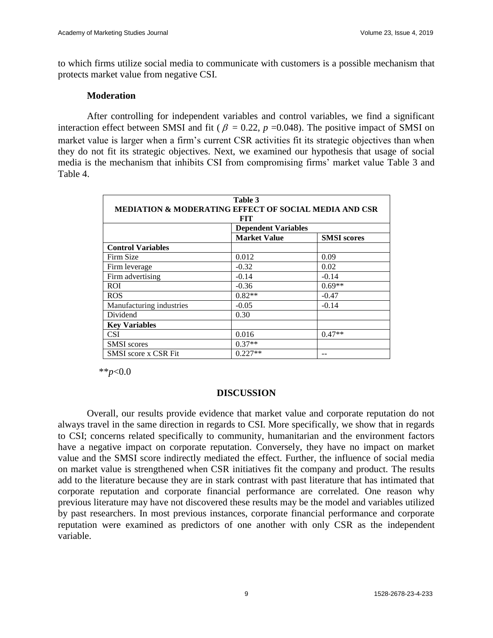to which firms utilize social media to communicate with customers is a possible mechanism that protects market value from negative CSI.

#### **Moderation**

After controlling for independent variables and control variables, we find a significant interaction effect between SMSI and fit ( $\beta = 0.22$ ,  $p = 0.048$ ). The positive impact of SMSI on market value is larger when a firm's current CSR activities fit its strategic objectives than when they do not fit its strategic objectives. Next, we examined our hypothesis that usage of social media is the mechanism that inhibits CSI from compromising firms' market value Table 3 and Table 4.

| Table 3                                                                 |                            |                    |  |  |  |  |  |  |  |
|-------------------------------------------------------------------------|----------------------------|--------------------|--|--|--|--|--|--|--|
| <b>MEDIATION &amp; MODERATING EFFECT OF SOCIAL MEDIA AND CSR</b><br>FIT |                            |                    |  |  |  |  |  |  |  |
|                                                                         | <b>Dependent Variables</b> |                    |  |  |  |  |  |  |  |
|                                                                         | <b>Market Value</b>        | <b>SMSI</b> scores |  |  |  |  |  |  |  |
| <b>Control Variables</b>                                                |                            |                    |  |  |  |  |  |  |  |
| Firm Size                                                               | 0.012                      | 0.09               |  |  |  |  |  |  |  |
| Firm leverage                                                           | $-0.32$                    | 0.02               |  |  |  |  |  |  |  |
| Firm advertising                                                        | $-0.14$                    | $-0.14$            |  |  |  |  |  |  |  |
| <b>ROI</b>                                                              | $-0.36$                    | $0.69**$           |  |  |  |  |  |  |  |
| <b>ROS</b>                                                              | $0.82**$                   | $-0.47$            |  |  |  |  |  |  |  |
| Manufacturing industries                                                | $-0.05$                    | $-0.14$            |  |  |  |  |  |  |  |
| Dividend                                                                | 0.30                       |                    |  |  |  |  |  |  |  |
| <b>Key Variables</b>                                                    |                            |                    |  |  |  |  |  |  |  |
| <b>CSI</b>                                                              | 0.016                      | $0.47**$           |  |  |  |  |  |  |  |
| <b>SMSI</b> scores                                                      | $0.37**$                   |                    |  |  |  |  |  |  |  |
| <b>SMSI</b> score x CSR Fit                                             | $0.227**$                  |                    |  |  |  |  |  |  |  |

\*\**p*<0.0

#### **DISCUSSION**

Overall, our results provide evidence that market value and corporate reputation do not always travel in the same direction in regards to CSI. More specifically, we show that in regards to CSI; concerns related specifically to community, humanitarian and the environment factors have a negative impact on corporate reputation. Conversely, they have no impact on market value and the SMSI score indirectly mediated the effect. Further, the influence of social media on market value is strengthened when CSR initiatives fit the company and product. The results add to the literature because they are in stark contrast with past literature that has intimated that corporate reputation and corporate financial performance are correlated. One reason why previous literature may have not discovered these results may be the model and variables utilized by past researchers. In most previous instances, corporate financial performance and corporate reputation were examined as predictors of one another with only CSR as the independent variable.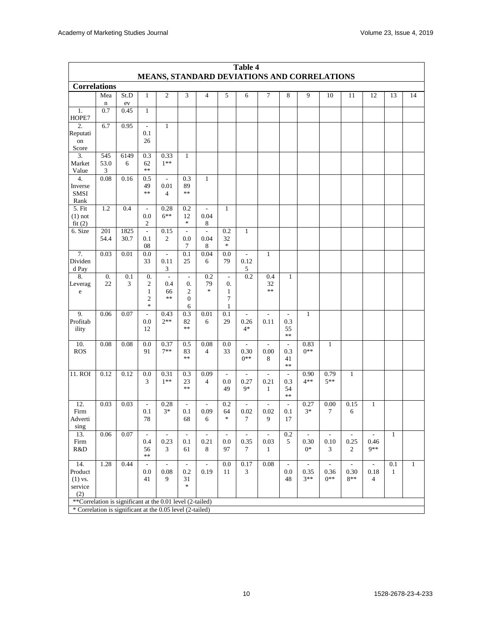| Table 4<br>MEANS, STANDARD DEVIATIONS AND CORRELATIONS<br><b>Correlations</b> |             |              |                                |                          |                          |                          |                          |                          |                          |                          |                          |                |                             |                             |              |              |
|-------------------------------------------------------------------------------|-------------|--------------|--------------------------------|--------------------------|--------------------------|--------------------------|--------------------------|--------------------------|--------------------------|--------------------------|--------------------------|----------------|-----------------------------|-----------------------------|--------------|--------------|
|                                                                               |             |              |                                |                          |                          |                          |                          |                          |                          |                          |                          | Mea            | St.D                        | $\mathbf{1}$                | 2            | 3            |
|                                                                               | $\mathbf n$ | ${\rm ev}$   |                                |                          |                          |                          |                          |                          |                          |                          |                          |                |                             |                             |              |              |
| 1.<br>HOPE7                                                                   | 0.7         | 0.45         | $\mathbf{1}$                   |                          |                          |                          |                          |                          |                          |                          |                          |                |                             |                             |              |              |
| 2.                                                                            | 6.7         | 0.95         |                                | $\mathbf{1}$             |                          |                          |                          |                          |                          |                          |                          |                |                             |                             |              |              |
| Reputati<br>on                                                                |             |              | 0.1<br>26                      |                          |                          |                          |                          |                          |                          |                          |                          |                |                             |                             |              |              |
| Score                                                                         |             |              |                                |                          |                          |                          |                          |                          |                          |                          |                          |                |                             |                             |              |              |
| 3.                                                                            | 545         | 6149         | 0.3                            | 0.33                     | $\mathbf{1}$             |                          |                          |                          |                          |                          |                          |                |                             |                             |              |              |
| Market<br>Value                                                               | 53.0<br>3   | 6            | 62<br>$\ast\ast$               | $1***$                   |                          |                          |                          |                          |                          |                          |                          |                |                             |                             |              |              |
| 4.                                                                            | 0.08        | 0.16         | 0.5                            | $\blacksquare$           | 0.3                      | 1                        |                          |                          |                          |                          |                          |                |                             |                             |              |              |
| Inverse                                                                       |             |              | 49                             | 0.01                     | 89                       |                          |                          |                          |                          |                          |                          |                |                             |                             |              |              |
| <b>SMSI</b><br>Rank                                                           |             |              | $**$                           | $\overline{4}$           | $**$                     |                          |                          |                          |                          |                          |                          |                |                             |                             |              |              |
| 5. Fit                                                                        | 1.2         | 0.4          | $\overline{\phantom{a}}$       | 0.28                     | 0.2                      | $\overline{\phantom{a}}$ | $\mathbf{1}$             |                          |                          |                          |                          |                |                             |                             |              |              |
| $(1)$ not                                                                     |             |              | 0.0                            | $6***$                   | 12                       | 0.04                     |                          |                          |                          |                          |                          |                |                             |                             |              |              |
| fit(2)                                                                        |             |              | $\overline{c}$                 |                          | *                        | 8                        |                          |                          |                          |                          |                          |                |                             |                             |              |              |
| 6. Size                                                                       | 201<br>54.4 | 1825<br>30.7 | $\overline{a}$<br>0.1          | 0.15<br>2                | $\sim$<br>0.0            | ÷,<br>0.04               | 0.2<br>32                | $\mathbf{1}$             |                          |                          |                          |                |                             |                             |              |              |
|                                                                               |             |              | 08                             |                          | 7                        | 8                        | $\ast$                   |                          |                          |                          |                          |                |                             |                             |              |              |
| 7.                                                                            | 0.03        | 0.01         | 0.0                            | $\overline{\phantom{a}}$ | 0.1                      | 0.04                     | 0.0                      |                          | $\mathbf{1}$             |                          |                          |                |                             |                             |              |              |
| Dividen<br>d Pay                                                              |             |              | 33                             | 0.11<br>3                | 25                       | 6                        | 79                       | 0.12<br>5                |                          |                          |                          |                |                             |                             |              |              |
| 8.                                                                            | 0.          | 0.1          | 0.                             | $\overline{\phantom{a}}$ | $\overline{\phantom{a}}$ | 0.2                      | $\overline{\phantom{a}}$ | 0.2                      | 0.4                      | 1                        |                          |                |                             |                             |              |              |
| Leverag                                                                       | 22          | 3            | 2                              | 0.4                      | 0.                       | 79<br>$\ast$             | 0.                       |                          | 32<br>$**$               |                          |                          |                |                             |                             |              |              |
| $\rm e$                                                                       |             |              | $\mathbf{1}$<br>$\mathfrak{2}$ | 66<br>**                 | 2<br>$\boldsymbol{0}$    |                          | $\mathbf{1}$<br>$\tau$   |                          |                          |                          |                          |                |                             |                             |              |              |
|                                                                               |             |              | $\ast$                         |                          | 6                        |                          | 1                        |                          |                          |                          |                          |                |                             |                             |              |              |
| 9.                                                                            | 0.06        | 0.07         | $\overline{a}$                 | 0.43                     | 0.3                      | 0.01                     | 0.1                      | ÷,                       |                          | ÷,                       | $\mathbf{1}$             |                |                             |                             |              |              |
| Profitab<br>ility                                                             |             |              | 0.0<br>12                      | $2**$                    | 82<br>$**$               | 6                        | 29                       | 0.26<br>$4*$             | 0.11                     | 0.3<br>55                |                          |                |                             |                             |              |              |
|                                                                               |             |              |                                |                          |                          |                          |                          |                          |                          | $\ast\ast$               |                          |                |                             |                             |              |              |
| 10.                                                                           | 0.08        | 0.08         | 0.0                            | 0.37                     | 0.5                      | 0.08                     | 0.0                      | $\overline{\phantom{a}}$ | $\overline{\phantom{a}}$ | $\overline{\phantom{a}}$ | 0.83                     | 1              |                             |                             |              |              |
| <b>ROS</b>                                                                    |             |              | 91                             | $7**$                    | 83<br>$**$               | $\overline{4}$           | 33                       | 0.30<br>$0**$            | 0.00<br>8                | 0.3<br>41                | $0**$                    |                |                             |                             |              |              |
|                                                                               |             |              |                                |                          |                          |                          |                          |                          |                          | $\ast\ast$               |                          |                |                             |                             |              |              |
| 11. ROI                                                                       | 0.12        | 0.12         | 0.0                            | 0.31                     | 0.3                      | 0.09                     | $\sim$                   | ÷,                       | $\sim$                   | $\overline{a}$           | 0.90                     | 0.79           | 1                           |                             |              |              |
|                                                                               |             |              | 3                              | $1***$                   | 23<br>$**$               | $\overline{4}$           | 0.0<br>49                | 0.27<br>$9*$             | 0.21<br>1                | 0.3<br>54                | $4**$                    | $5**$          |                             |                             |              |              |
|                                                                               |             |              |                                |                          |                          |                          |                          |                          |                          | $\ast\ast$               |                          |                |                             |                             |              |              |
| 12.                                                                           | 0.03        | 0.03         | $\overline{\phantom{a}}$       | 0.28                     | $\overline{\phantom{a}}$ | $\overline{\phantom{a}}$ | 0.2                      | ÷,                       |                          | $\frac{1}{2}$            | 0.27                     | 0.00           | 0.15                        | $\mathbf{1}$                |              |              |
| Firm<br>Adverti                                                               |             |              | 0.1<br>78                      | $3*$                     | 0.1<br>68                | 0.09<br>6                | 64<br>$\ast$             | 0.02<br>7                | 0.02<br>9                | 0.1<br>17                | $3*$                     | 7              | 6                           |                             |              |              |
| sing                                                                          |             |              |                                |                          |                          |                          |                          |                          |                          |                          |                          |                |                             |                             |              |              |
| 13.                                                                           | 0.06        | $0.07\,$     | $\overline{\phantom{a}}$       | $\sim$                   | $\overline{a}$           | $\sim$                   | $\sim$                   | $\overline{\phantom{a}}$ | $\overline{\phantom{a}}$ | 0.2                      | $\overline{\phantom{a}}$ | $\mathcal{L}$  | $\mathcal{L}_{\mathcal{A}}$ | $\mathcal{L}^{\mathcal{L}}$ | $\mathbf{1}$ |              |
| Firm<br>R&D                                                                   |             |              | 0.4<br>56                      | 0.23<br>3                | 0.1<br>61                | 0.21<br>8                | 0.0<br>97                | 0.35<br>7                | 0.03<br>1                | 5                        | 0.30<br>$0^*$            | 0.10<br>3      | 0.25<br>$\overline{2}$      | 0.46<br>$9**$               |              |              |
|                                                                               |             |              | $**$                           |                          |                          |                          |                          |                          |                          |                          |                          |                |                             |                             |              |              |
| 14.                                                                           | 1.28        | 0.44         |                                |                          |                          |                          | 0.0                      | 0.17                     | 0.08                     |                          |                          |                | $\overline{a}$              |                             | 0.1          | $\mathbf{1}$ |
| Product<br>$(1)$ vs.                                                          |             |              | 0.0<br>41                      | 0.08<br>9                | 0.2<br>31                | 0.19                     | 11                       | 3                        |                          | 0.0<br>48                | 0.35<br>$3**$            | 0.36<br>$0***$ | 0.30<br>$8**$               | 0.18<br>$\overline{4}$      | $\mathbf{1}$ |              |
| service                                                                       |             |              |                                |                          | $\approx$                |                          |                          |                          |                          |                          |                          |                |                             |                             |              |              |
| (2)                                                                           |             |              |                                |                          |                          |                          |                          |                          |                          |                          |                          |                |                             |                             |              |              |
| **Correlation is significant at the 0.01 level (2-tailed)                     |             |              |                                |                          |                          |                          |                          |                          |                          |                          |                          |                |                             |                             |              |              |
| * Correlation is significant at the 0.05 level (2-tailed)                     |             |              |                                |                          |                          |                          |                          |                          |                          |                          |                          |                |                             |                             |              |              |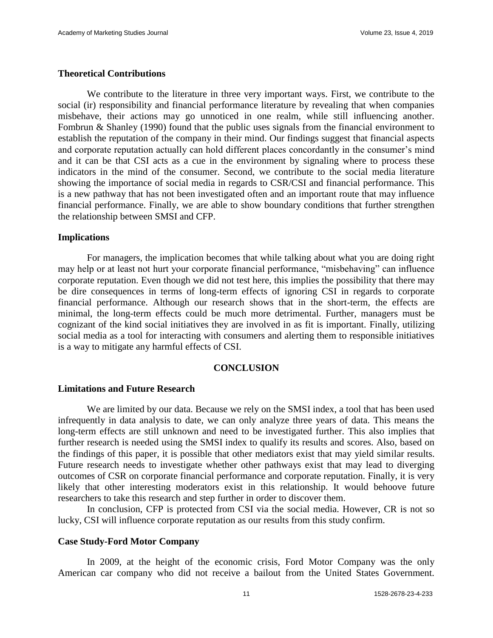#### **Theoretical Contributions**

We contribute to the literature in three very important ways. First, we contribute to the social (ir) responsibility and financial performance literature by revealing that when companies misbehave, their actions may go unnoticed in one realm, while still influencing another. Fombrun & Shanley (1990) found that the public uses signals from the financial environment to establish the reputation of the company in their mind. Our findings suggest that financial aspects and corporate reputation actually can hold different places concordantly in the consumer's mind and it can be that CSI acts as a cue in the environment by signaling where to process these indicators in the mind of the consumer. Second, we contribute to the social media literature showing the importance of social media in regards to CSR/CSI and financial performance. This is a new pathway that has not been investigated often and an important route that may influence financial performance. Finally, we are able to show boundary conditions that further strengthen the relationship between SMSI and CFP.

#### **Implications**

For managers, the implication becomes that while talking about what you are doing right may help or at least not hurt your corporate financial performance, "misbehaving" can influence corporate reputation. Even though we did not test here, this implies the possibility that there may be dire consequences in terms of long-term effects of ignoring CSI in regards to corporate financial performance. Although our research shows that in the short-term, the effects are minimal, the long-term effects could be much more detrimental. Further, managers must be cognizant of the kind social initiatives they are involved in as fit is important. Finally, utilizing social media as a tool for interacting with consumers and alerting them to responsible initiatives is a way to mitigate any harmful effects of CSI.

#### **CONCLUSION**

#### **Limitations and Future Research**

We are limited by our data. Because we rely on the SMSI index, a tool that has been used infrequently in data analysis to date, we can only analyze three years of data. This means the long-term effects are still unknown and need to be investigated further. This also implies that further research is needed using the SMSI index to qualify its results and scores. Also, based on the findings of this paper, it is possible that other mediators exist that may yield similar results. Future research needs to investigate whether other pathways exist that may lead to diverging outcomes of CSR on corporate financial performance and corporate reputation. Finally, it is very likely that other interesting moderators exist in this relationship. It would behoove future researchers to take this research and step further in order to discover them.

In conclusion, CFP is protected from CSI via the social media. However, CR is not so lucky, CSI will influence corporate reputation as our results from this study confirm.

#### **Case Study-Ford Motor Company**

In 2009, at the height of the economic crisis, Ford Motor Company was the only American car company who did not receive a bailout from the United States Government.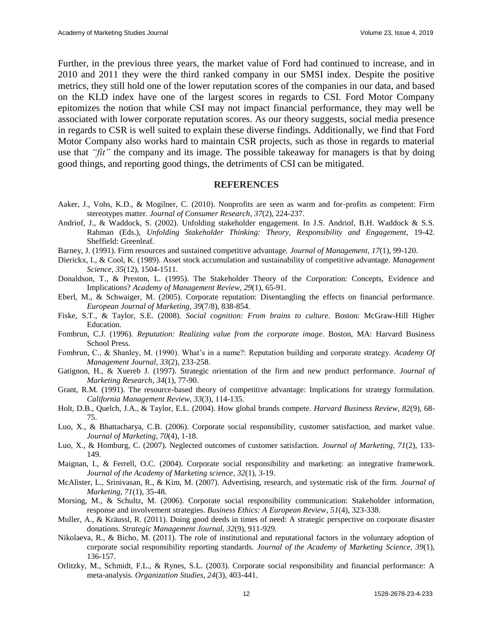Further, in the previous three years, the market value of Ford had continued to increase, and in 2010 and 2011 they were the third ranked company in our SMSI index. Despite the positive metrics, they still hold one of the lower reputation scores of the companies in our data, and based on the KLD index have one of the largest scores in regards to CSI. Ford Motor Company epitomizes the notion that while CSI may not impact financial performance, they may well be associated with lower corporate reputation scores. As our theory suggests, social media presence in regards to CSR is well suited to explain these diverse findings. Additionally, we find that Ford Motor Company also works hard to maintain CSR projects, such as those in regards to material use that *"fit"* the company and its image. The possible takeaway for managers is that by doing good things, and reporting good things, the detriments of CSI can be mitigated.

#### **REFERENCES**

- Aaker, J., Vohs, K.D., & Mogilner, C. (2010). Nonprofits are seen as warm and for-profits as competent: Firm stereotypes matter. *Journal of Consumer Research*, *37*(2), 224-237.
- Andriof, J., & Waddock, S. (2002). Unfolding stakeholder engagement. In J.S. Andriof, B.H. Waddock & S.S. Rahman (Eds.), *Unfolding Stakeholder Thinking: Theory, Responsibility and Engagement, 19-42.* Sheffield: Greenleaf.
- Barney, J. (1991). Firm resources and sustained competitive advantage. *Journal of Management*, *17*(1), 99-120.
- Dierickx, I., & Cool, K. (1989). Asset stock accumulation and sustainability of competitive advantage. *Management Science*, *35*(12), 1504-1511.
- Donaldson, T., & Preston, L. (1995). The Stakeholder Theory of the Corporation: Concepts, Evidence and Implications? *Academy of Management Review*, *29*(1), 65-91.
- Eberl, M., & Schwaiger, M. (2005). Corporate reputation: Disentangling the effects on financial performance. *European Journal of Marketing*, *39*(7/8), 838-854.
- Fiske, S.T., & Taylor, S.E. (2008). *Social cognition: From brains to culture*. Boston: McGraw-Hill Higher Education.
- Fombrun, C.J. (1996). *Reputation: Realizing value from the corporate image*. Boston, MA: Harvard Business School Press.
- Fombrun, C., & Shanley, M. (1990). What's in a name?: Reputation building and corporate strategy. *Academy Of Management Journal, 33*(2), 233-258.
- Gatignon, H., & Xuereb J. (1997). Strategic orientation of the firm and new product performance. *Journal of Marketing Research*, *34*(1), 77-90.
- Grant, R.M. (1991). The resource-based theory of competitive advantage: Implications for strategy formulation. *California Management Review*, *33*(3), 114-135.
- Holt, D.B., Quelch, J.A., & Taylor, E.L. (2004). How global brands compete. *Harvard Business Review, 82*(9), 68- 75.
- Luo, X., & Bhattacharya, C.B. (2006). Corporate social responsibility, customer satisfaction, and market value. *Journal of Marketing*, *70*(4), 1-18.
- Luo, X., & Homburg, C. (2007). Neglected outcomes of customer satisfaction. *Journal of Marketing, 71*(2), 133- 149.
- Maignan, I., & Ferrell, O.C. (2004). Corporate social responsibility and marketing: an integrative framework. *Journal of the Academy of Marketing science*, *32*(1), 3-19.
- McAlister, L., Srinivasan, R., & Kim, M. (2007). Advertising, research, and systematic risk of the firm. *Journal of Marketing, 71*(1), 35-48.
- Morsing, M., & Schultz, M. (2006). Corporate social responsibility communication: Stakeholder information, response and involvement strategies. *Business Ethics: A European Review*, *51*(4), 323-338.
- Muller, A., & Kräussl, R. (2011). Doing good deeds in times of need: A strategic perspective on corporate disaster donations. *Strategic Management Journal, 32*(9), 911-929.
- Nikolaeva, R., & Bicho, M. (2011). The role of institutional and reputational factors in the voluntary adoption of corporate social responsibility reporting standards. *Journal of the Academy of Marketing Science*, *39*(1), 136-157.
- Orlitzky, M., Schmidt, F.L., & Rynes, S.L. (2003). Corporate social responsibility and financial performance: A meta-analysis. *Organization Studies, 24*(3), 403-441.